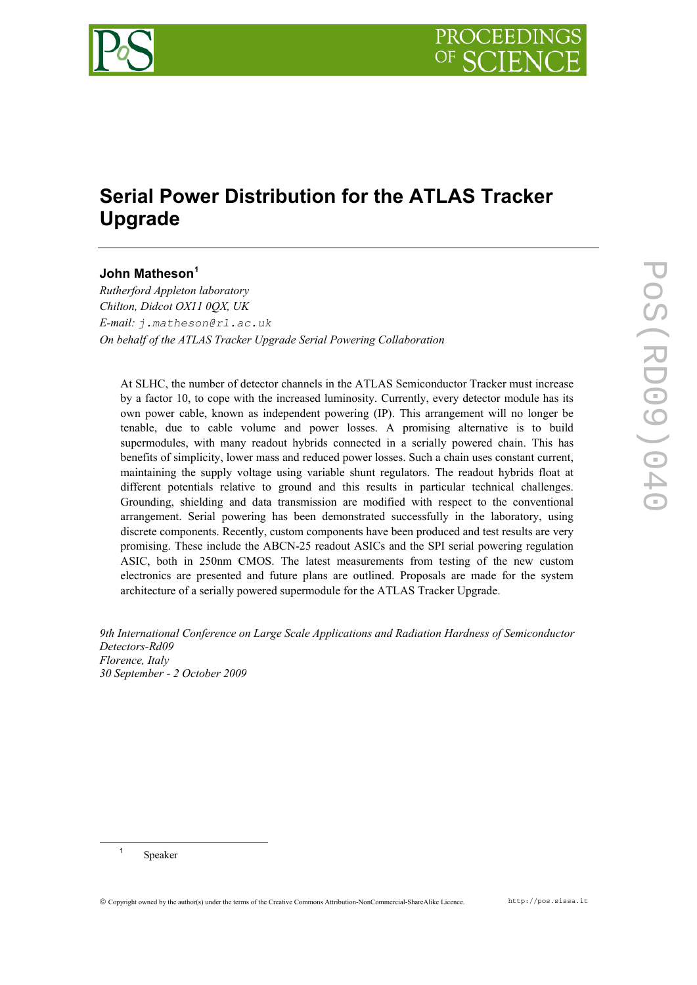

# **Serial Power Distribution for the ATLAS Tracker Upgrade**

# **John Matheson[1](#page-0-0)**

*Rutherford Appleton laboratory Chilton, Didcot OX11 0QX, UK E-mail: j.matheson@rl.ac.uk On behalf of the ATLAS Tracker Upgrade Serial Powering Collaboration* 

At SLHC, the number of detector channels in the ATLAS Semiconductor Tracker must increase by a factor 10, to cope with the increased luminosity. Currently, every detector module has its own power cable, known as independent powering (IP). This arrangement will no longer be tenable, due to cable volume and power losses. A promising alternative is to build supermodules, with many readout hybrids connected in a serially powered chain. This has benefits of simplicity, lower mass and reduced power losses. Such a chain uses constant current, maintaining the supply voltage using variable shunt regulators. The readout hybrids float at different potentials relative to ground and this results in particular technical challenges. Grounding, shielding and data transmission are modified with respect to the conventional arrangement. Serial powering has been demonstrated successfully in the laboratory, using discrete components. Recently, custom components have been produced and test results are very promising. These include the ABCN-25 readout ASICs and the SPI serial powering regulation ASIC, both in 250nm CMOS. The latest measurements from testing of the new custom electronics are presented and future plans are outlined. Proposals are made for the system architecture of a serially powered supermodule for the ATLAS Tracker Upgrade.

*9th International Conference on Large Scale Applications and Radiation Hardness of Semiconductor Detectors-Rd09 Florence, Italy 30 September - 2 October 2009* 

<span id="page-0-0"></span> <sup>1</sup> Speaker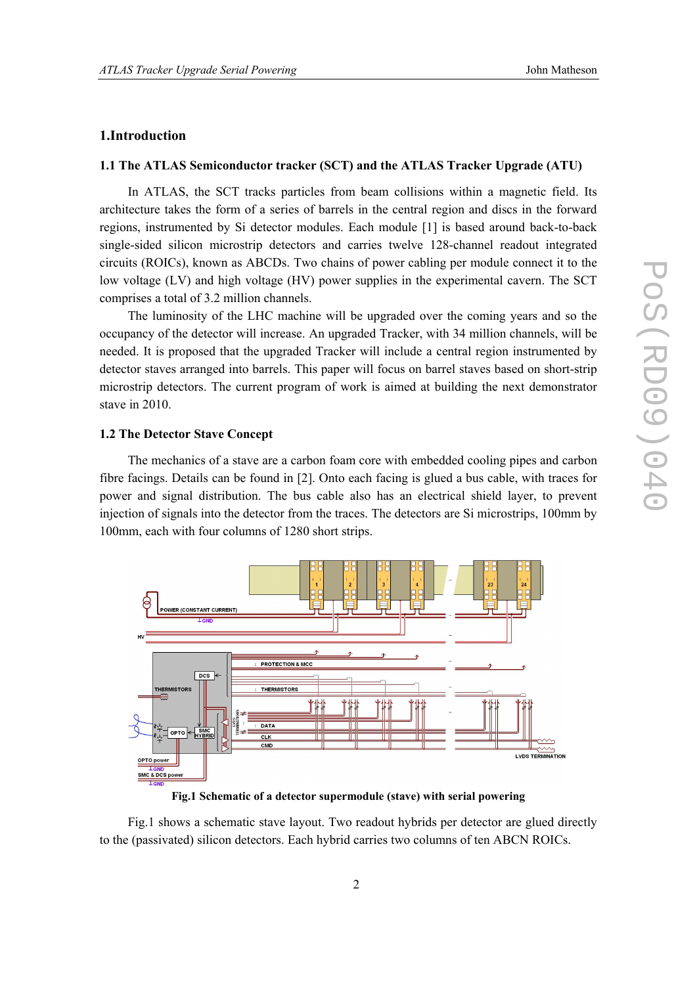# **1.Introduction**

#### **1.1 The ATLAS Semiconductor tracker (SCT) and the ATLAS Tracker Upgrade (ATU)**

In ATLAS, the SCT tracks particles from beam collisions within a magnetic field. Its architecture takes the form of a series of barrels in the central region and discs in the forward regions, instrumented by Si detector modules. Each module [1] is based around back-to-back single-sided silicon microstrip detectors and carries twelve 128-channel readout integrated circuits (ROICs), known as ABCDs. Two chains of power cabling per module connect it to the low voltage (LV) and high voltage (HV) power supplies in the experimental cavern. The SCT comprises a total of 3.2 million channels.

The luminosity of the LHC machine will be upgraded over the coming years and so the occupancy of the detector will increase. An upgraded Tracker, with 34 million channels, will be needed. It is proposed that the upgraded Tracker will include a central region instrumented by detector staves arranged into barrels. This paper will focus on barrel staves based on short-strip microstrip detectors. The current program of work is aimed at building the next demonstrator stave in 2010.

#### **1.2 The Detector Stave Concept**

The mechanics of a stave are a carbon foam core with embedded cooling pipes and carbon fibre facings. Details can be found in [2]. Onto each facing is glued a bus cable, with traces for power and signal distribution. The bus cable also has an electrical shield layer, to prevent injection of signals into the detector from the traces. The detectors are Si microstrips, 100mm by 100mm, each with four columns of 1280 short strips.



**Fig.1 Schematic of a detector supermodule (stave) with serial powering** 

Fig.1 shows a schematic stave layout. Two readout hybrids per detector are glued directly to the (passivated) silicon detectors. Each hybrid carries two columns of ten ABCN ROICs.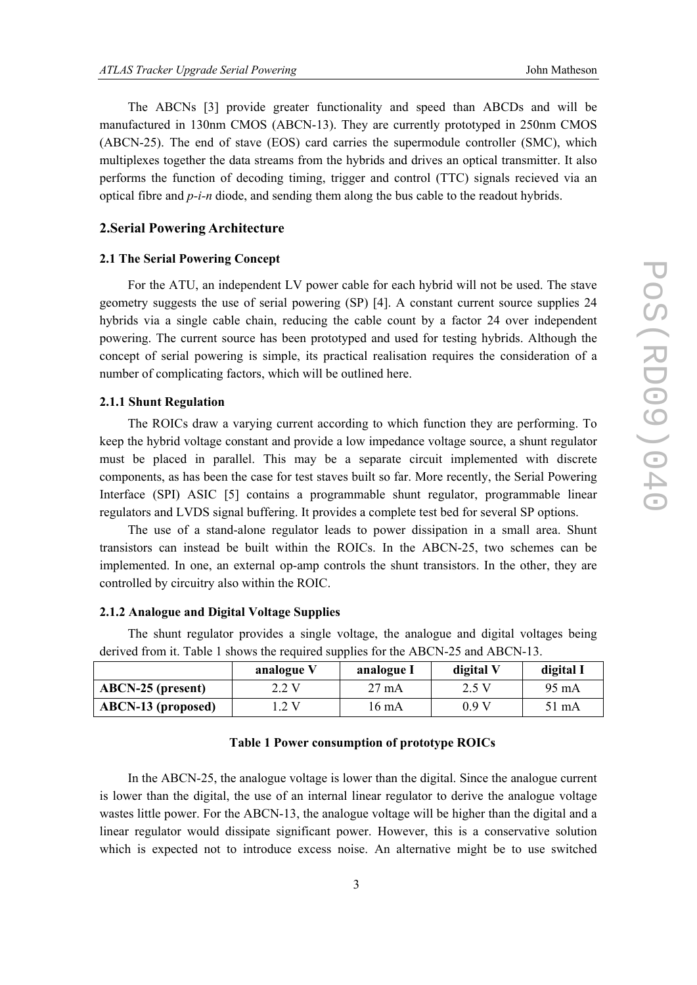The ABCNs [3] provide greater functionality and speed than ABCDs and will be manufactured in 130nm CMOS (ABCN-13). They are currently prototyped in 250nm CMOS (ABCN-25). The end of stave (EOS) card carries the supermodule controller (SMC), which multiplexes together the data streams from the hybrids and drives an optical transmitter. It also performs the function of decoding timing, trigger and control (TTC) signals recieved via an optical fibre and *p-i-n* diode, and sending them along the bus cable to the readout hybrids.

#### **2.Serial Powering Architecture**

#### **2.1 The Serial Powering Concept**

For the ATU, an independent LV power cable for each hybrid will not be used. The stave geometry suggests the use of serial powering (SP) [4]. A constant current source supplies 24 hybrids via a single cable chain, reducing the cable count by a factor 24 over independent powering. The current source has been prototyped and used for testing hybrids. Although the concept of serial powering is simple, its practical realisation requires the consideration of a number of complicating factors, which will be outlined here.

## **2.1.1 Shunt Regulation**

The ROICs draw a varying current according to which function they are performing. To keep the hybrid voltage constant and provide a low impedance voltage source, a shunt regulator must be placed in parallel. This may be a separate circuit implemented with discrete components, as has been the case for test staves built so far. More recently, the Serial Powering Interface (SPI) ASIC [5] contains a programmable shunt regulator, programmable linear regulators and LVDS signal buffering. It provides a complete test bed for several SP options.

The use of a stand-alone regulator leads to power dissipation in a small area. Shunt transistors can instead be built within the ROICs. In the ABCN-25, two schemes can be implemented. In one, an external op-amp controls the shunt transistors. In the other, they are controlled by circuitry also within the ROIC.

## **2.1.2 Analogue and Digital Voltage Supplies**

The shunt regulator provides a single voltage, the analogue and digital voltages being derived from it. Table 1 shows the required supplies for the ABCN-25 and ABCN-13.

|                           | analogue V | analogue I      | digital V | digital I |
|---------------------------|------------|-----------------|-----------|-----------|
| $ABCN-25$ (present)       | 2.2 V      | $27 \text{ mA}$ | 2.5 V     | 95 mA     |
| <b>ABCN-13 (proposed)</b> | 2V         | 6 m A           | 0.9 V     | 51 mA     |

# **Table 1 Power consumption of prototype ROICs**

In the ABCN-25, the analogue voltage is lower than the digital. Since the analogue current is lower than the digital, the use of an internal linear regulator to derive the analogue voltage wastes little power. For the ABCN-13, the analogue voltage will be higher than the digital and a linear regulator would dissipate significant power. However, this is a conservative solution which is expected not to introduce excess noise. An alternative might be to use switched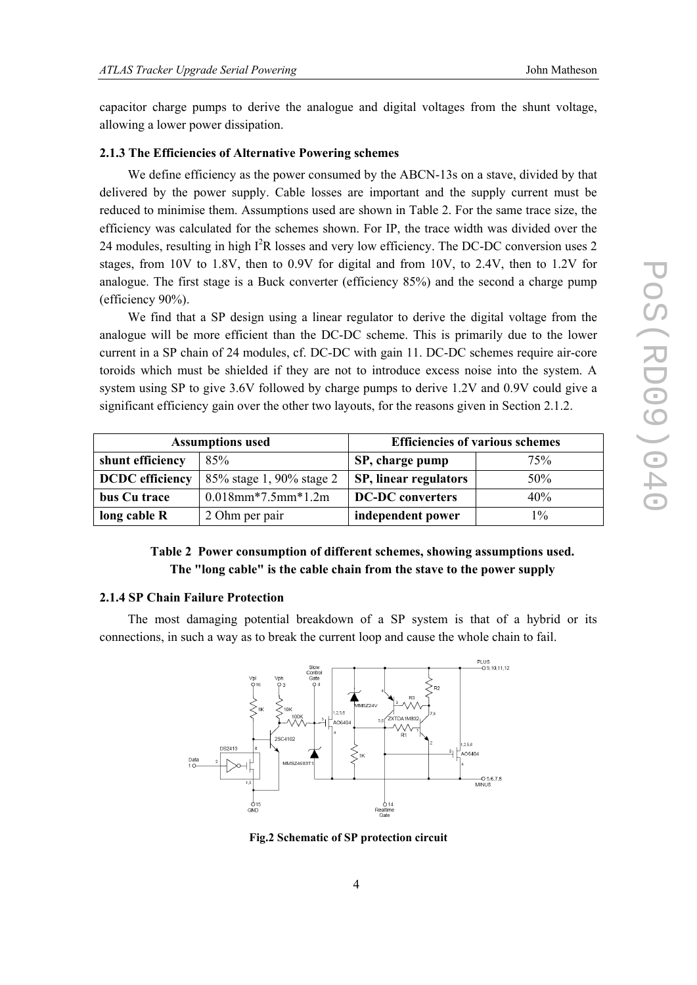capacitor charge pumps to derive the analogue and digital voltages from the shunt voltage, allowing a lower power dissipation.

#### **2.1.3 The Efficiencies of Alternative Powering schemes**

We define efficiency as the power consumed by the ABCN-13s on a stave, divided by that delivered by the power supply. Cable losses are important and the supply current must be reduced to minimise them. Assumptions used are shown in Table 2. For the same trace size, the efficiency was calculated for the schemes shown. For IP, the trace width was divided over the 24 modules, resulting in high  $I^2R$  losses and very low efficiency. The DC-DC conversion uses 2 stages, from 10V to 1.8V, then to 0.9V for digital and from 10V, to 2.4V, then to 1.2V for analogue. The first stage is a Buck converter (efficiency 85%) and the second a charge pump (efficiency 90%).

We find that a SP design using a linear regulator to derive the digital voltage from the analogue will be more efficient than the DC-DC scheme. This is primarily due to the lower current in a SP chain of 24 modules, cf. DC-DC with gain 11. DC-DC schemes require air-core toroids which must be shielded if they are not to introduce excess noise into the system. A system using SP to give 3.6V followed by charge pumps to derive 1.2V and 0.9V could give a significant efficiency gain over the other two layouts, for the reasons given in Section 2.1.2.

| <b>Assumptions used</b> |                          | <b>Efficiencies of various schemes</b> |       |  |
|-------------------------|--------------------------|----------------------------------------|-------|--|
| shunt efficiency        | 85%                      | SP, charge pump                        | 75%   |  |
| <b>DCDC</b> efficiency  | 85% stage 1, 90% stage 2 | SP, linear regulators                  | 50%   |  |
| bus Cu trace            | $0.018$ mm*7.5mm*1.2m    | <b>DC-DC</b> converters                | 40%   |  |
| long cable $R$          | 2 Ohm per pair           | independent power                      | $1\%$ |  |

# **Table 2 Power consumption of different schemes, showing assumptions used. The "long cable" is the cable chain from the stave to the power supply**

#### **2.1.4 SP Chain Failure Protection**

The most damaging potential breakdown of a SP system is that of a hybrid or its connections, in such a way as to break the current loop and cause the whole chain to fail.



**Fig.2 Schematic of SP protection circuit**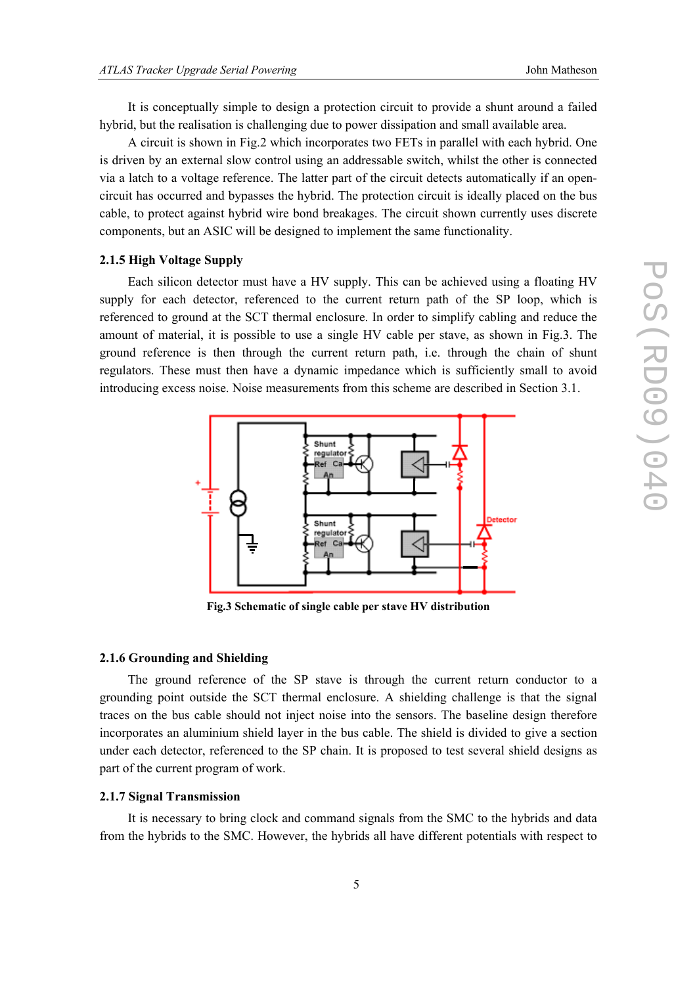It is conceptually simple to design a protection circuit to provide a shunt around a failed hybrid, but the realisation is challenging due to power dissipation and small available area.

A circuit is shown in Fig.2 which incorporates two FETs in parallel with each hybrid. One is driven by an external slow control using an addressable switch, whilst the other is connected via a latch to a voltage reference. The latter part of the circuit detects automatically if an opencircuit has occurred and bypasses the hybrid. The protection circuit is ideally placed on the bus cable, to protect against hybrid wire bond breakages. The circuit shown currently uses discrete components, but an ASIC will be designed to implement the same functionality.

#### **2.1.5 High Voltage Supply**

Each silicon detector must have a HV supply. This can be achieved using a floating HV supply for each detector, referenced to the current return path of the SP loop, which is referenced to ground at the SCT thermal enclosure. In order to simplify cabling and reduce the amount of material, it is possible to use a single HV cable per stave, as shown in Fig.3. The ground reference is then through the current return path, i.e. through the chain of shunt regulators. These must then have a dynamic impedance which is sufficiently small to avoid introducing excess noise. Noise measurements from this scheme are described in Section 3.1.



**Fig.3 Schematic of single cable per stave HV distribution** 

# **2.1.6 Grounding and Shielding**

The ground reference of the SP stave is through the current return conductor to a grounding point outside the SCT thermal enclosure. A shielding challenge is that the signal traces on the bus cable should not inject noise into the sensors. The baseline design therefore incorporates an aluminium shield layer in the bus cable. The shield is divided to give a section under each detector, referenced to the SP chain. It is proposed to test several shield designs as part of the current program of work.

#### **2.1.7 Signal Transmission**

It is necessary to bring clock and command signals from the SMC to the hybrids and data from the hybrids to the SMC. However, the hybrids all have different potentials with respect to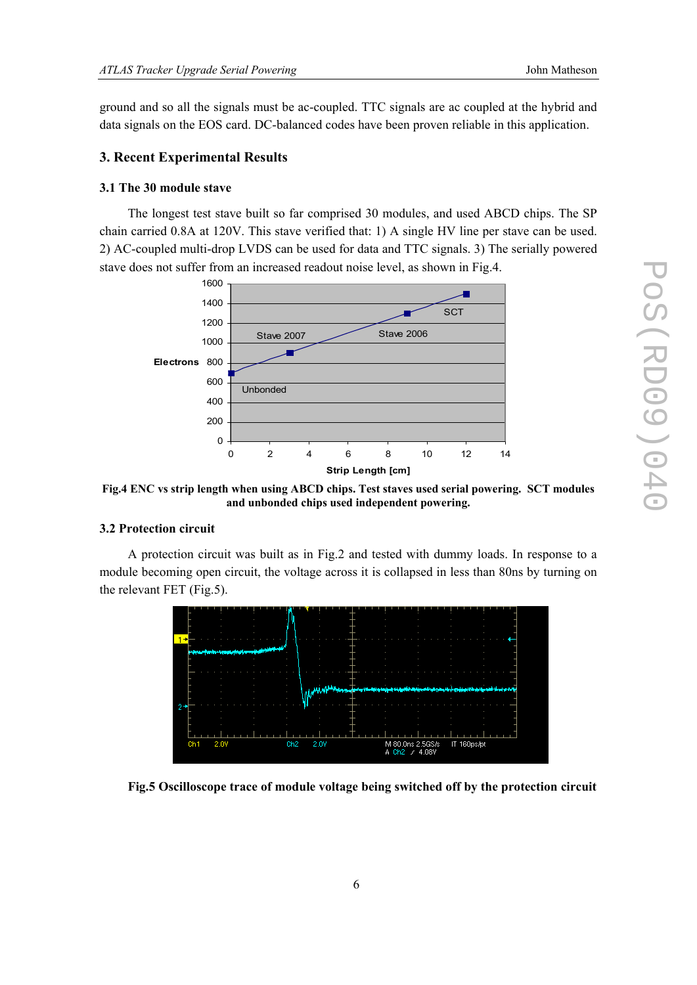ground and so all the signals must be ac-coupled. TTC signals are ac coupled at the hybrid and data signals on the EOS card. DC-balanced codes have been proven reliable in this application.

#### **3. Recent Experimental Results**

## **3.1 The 30 module stave**

The longest test stave built so far comprised 30 modules, and used ABCD chips. The SP chain carried 0.8A at 120V. This stave verified that: 1) A single HV line per stave can be used. 2) AC-coupled multi-drop LVDS can be used for data and TTC signals. 3) The serially powered stave does not suffer from an increased readout noise level, as shown in Fig.4.



**Fig.4 ENC vs strip length when using ABCD chips. Test staves used serial powering. SCT modules and unbonded chips used independent powering.** 

#### **3.2 Protection circuit**

A protection circuit was built as in Fig.2 and tested with dummy loads. In response to a module becoming open circuit, the voltage across it is collapsed in less than 80ns by turning on the relevant FET (Fig.5).



**Fig.5 Oscilloscope trace of module voltage being switched off by the protection circuit**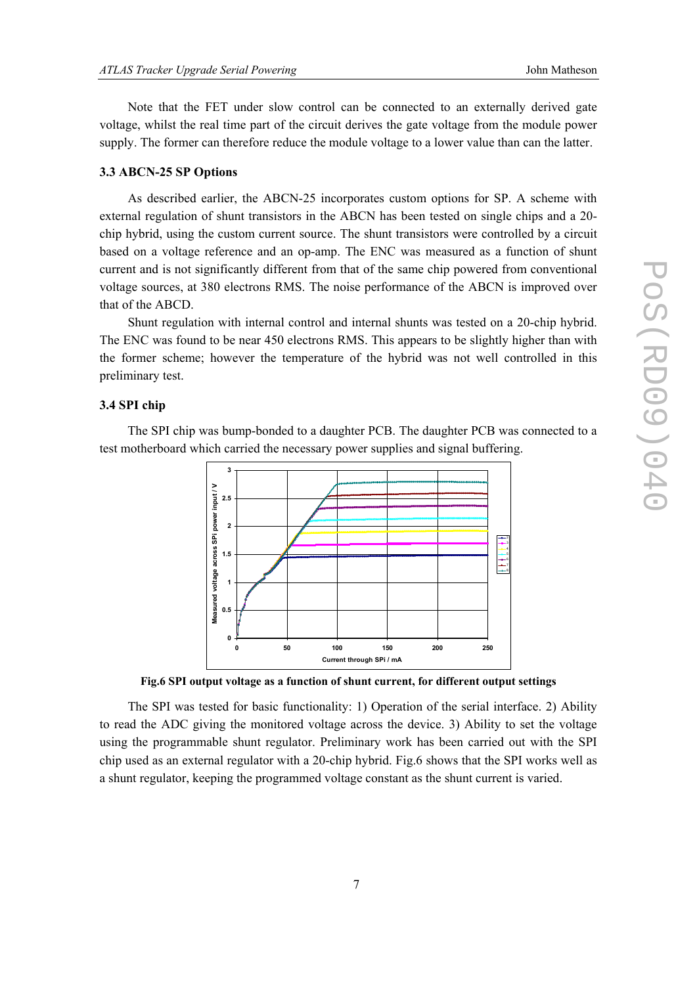Note that the FET under slow control can be connected to an externally derived gate voltage, whilst the real time part of the circuit derives the gate voltage from the module power supply. The former can therefore reduce the module voltage to a lower value than can the latter.

# **3.3 ABCN-25 SP Options**

As described earlier, the ABCN-25 incorporates custom options for SP. A scheme with external regulation of shunt transistors in the ABCN has been tested on single chips and a 20 chip hybrid, using the custom current source. The shunt transistors were controlled by a circuit based on a voltage reference and an op-amp. The ENC was measured as a function of shunt current and is not significantly different from that of the same chip powered from conventional voltage sources, at 380 electrons RMS. The noise performance of the ABCN is improved over that of the ABCD.

Shunt regulation with internal control and internal shunts was tested on a 20-chip hybrid. The ENC was found to be near 450 electrons RMS. This appears to be slightly higher than with the former scheme; however the temperature of the hybrid was not well controlled in this preliminary test.

# **3.4 SPI chip**

The SPI chip was bump-bonded to a daughter PCB. The daughter PCB was connected to a test motherboard which carried the necessary power supplies and signal buffering.



**Fig.6 SPI output voltage as a function of shunt current, for different output settings** 

The SPI was tested for basic functionality: 1) Operation of the serial interface. 2) Ability to read the ADC giving the monitored voltage across the device. 3) Ability to set the voltage using the programmable shunt regulator. Preliminary work has been carried out with the SPI chip used as an external regulator with a 20-chip hybrid. Fig.6 shows that the SPI works well as a shunt regulator, keeping the programmed voltage constant as the shunt current is varied.